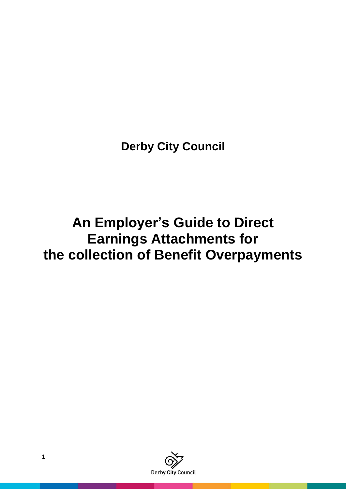**Derby City Council**

# **An Employer's Guide to Direct Earnings Attachments for the collection of Benefit Overpayments**

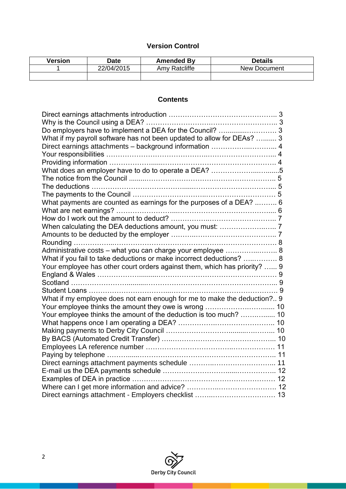# **Version Control**

| Version | Date       | <b>Amended By</b> | <b>Details</b> |
|---------|------------|-------------------|----------------|
|         | 22/04/2015 | Amy Ratcliffe     | New Document   |
|         |            |                   |                |

# **Contents**

| Do employers have to implement a DEA for the Council?  3                  |  |
|---------------------------------------------------------------------------|--|
| What if my payroll software has not been updated to allow for DEAs?  3    |  |
| Direct earnings attachments - background information  4                   |  |
|                                                                           |  |
|                                                                           |  |
| What does an employer have to do to operate a DEA? 5                      |  |
|                                                                           |  |
|                                                                           |  |
|                                                                           |  |
| What payments are counted as earnings for the purposes of a DEA?  6       |  |
|                                                                           |  |
|                                                                           |  |
|                                                                           |  |
|                                                                           |  |
|                                                                           |  |
| Administrative costs - what you can charge your employee  8               |  |
| What if you fail to take deductions or make incorrect deductions?  8      |  |
| Your employee has other court orders against them, which has priority?  9 |  |
|                                                                           |  |
|                                                                           |  |
|                                                                           |  |
| What if my employee does not earn enough for me to make the deduction? 9  |  |
|                                                                           |  |
| Your employee thinks the amount of the deduction is too much?  10         |  |
|                                                                           |  |
|                                                                           |  |
|                                                                           |  |
|                                                                           |  |
|                                                                           |  |
|                                                                           |  |
|                                                                           |  |
|                                                                           |  |
|                                                                           |  |
|                                                                           |  |

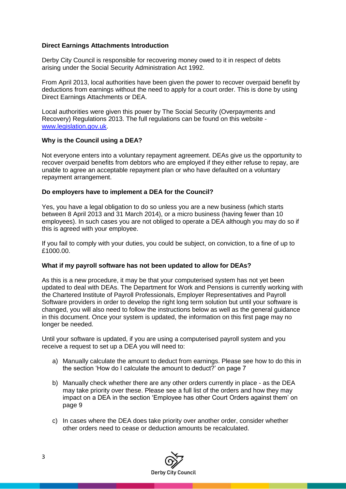### **Direct Earnings Attachments Introduction**

Derby City Council is responsible for recovering money owed to it in respect of debts arising under the Social Security Administration Act 1992.

From April 2013, local authorities have been given the power to recover overpaid benefit by deductions from earnings without the need to apply for a court order. This is done by using Direct Earnings Attachments or DEA.

Local authorities were given this power by The Social Security (Overpayments and Recovery) Regulations 2013. The full regulations can be found on this website [www.legislation.gov.uk.](http://www.legislation.gov.uk/)

#### **Why is the Council using a DEA?**

Not everyone enters into a voluntary repayment agreement. DEAs give us the opportunity to recover overpaid benefits from debtors who are employed if they either refuse to repay, are unable to agree an acceptable repayment plan or who have defaulted on a voluntary repayment arrangement.

#### **Do employers have to implement a DEA for the Council?**

Yes, you have a legal obligation to do so unless you are a new business (which starts between 8 April 2013 and 31 March 2014), or a micro business (having fewer than 10 employees). In such cases you are not obliged to operate a DEA although you may do so if this is agreed with your employee.

If you fail to comply with your duties, you could be subject, on conviction, to a fine of up to £1000.00.

#### **What if my payroll software has not been updated to allow for DEAs?**

As this is a new procedure, it may be that your computerised system has not yet been updated to deal with DEAs. The Department for Work and Pensions is currently working with the Chartered Institute of Payroll Professionals, Employer Representatives and Payroll Software providers in order to develop the right long term solution but until your software is changed, you will also need to follow the instructions below as well as the general guidance in this document. Once your system is updated, the information on this first page may no longer be needed.

Until your software is updated, if you are using a computerised payroll system and you receive a request to set up a DEA you will need to:

- a) Manually calculate the amount to deduct from earnings. Please see how to do this in the section 'How do I calculate the amount to deduct?' on page 7
- b) Manually check whether there are any other orders currently in place as the DEA may take priority over these. Please see a full list of the orders and how they may impact on a DEA in the section 'Employee has other Court Orders against them' on page 9
- c) In cases where the DEA does take priority over another order, consider whether other orders need to cease or deduction amounts be recalculated.

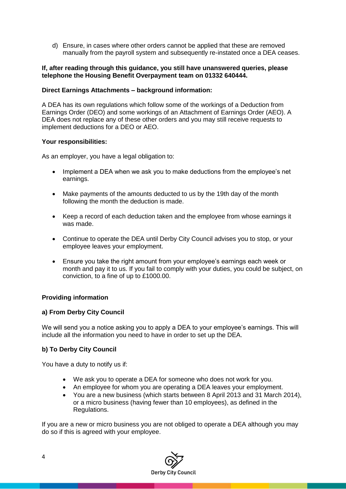d) Ensure, in cases where other orders cannot be applied that these are removed manually from the payroll system and subsequently re-instated once a DEA ceases.

#### **If, after reading through this guidance, you still have unanswered queries, please telephone the Housing Benefit Overpayment team on 01332 640444.**

#### **Direct Earnings Attachments – background information:**

A DEA has its own regulations which follow some of the workings of a Deduction from Earnings Order (DEO) and some workings of an Attachment of Earnings Order (AEO). A DEA does not replace any of these other orders and you may still receive requests to implement deductions for a DEO or AEO.

#### **Your responsibilities:**

As an employer, you have a legal obligation to:

- Implement a DEA when we ask you to make deductions from the employee's net earnings.
- Make payments of the amounts deducted to us by the 19th day of the month following the month the deduction is made.
- Keep a record of each deduction taken and the employee from whose earnings it was made.
- Continue to operate the DEA until Derby City Council advises you to stop, or your employee leaves your employment.
- Ensure you take the right amount from your employee's earnings each week or month and pay it to us. If you fail to comply with your duties, you could be subject, on conviction, to a fine of up to £1000.00.

#### **Providing information**

#### **a) From Derby City Council**

We will send you a notice asking you to apply a DEA to your employee's earnings. This will include all the information you need to have in order to set up the DEA.

#### **b) To Derby City Council**

You have a duty to notify us if:

- We ask you to operate a DEA for someone who does not work for you.
- An employee for whom you are operating a DEA leaves your employment.
- You are a new business (which starts between 8 April 2013 and 31 March 2014), or a micro business (having fewer than 10 employees), as defined in the Regulations.

If you are a new or micro business you are not obliged to operate a DEA although you may do so if this is agreed with your employee.

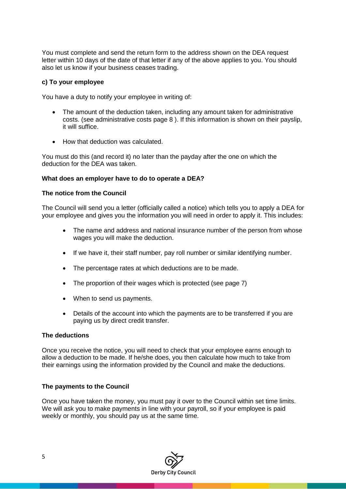You must complete and send the return form to the address shown on the DEA request letter within 10 days of the date of that letter if any of the above applies to you. You should also let us know if your business ceases trading.

#### **c) To your employee**

You have a duty to notify your employee in writing of:

- The amount of the deduction taken, including any amount taken for administrative costs. (see administrative costs page 8 ). If this information is shown on their payslip, it will suffice.
- How that deduction was calculated.

You must do this (and record it) no later than the payday after the one on which the deduction for the DEA was taken.

#### **What does an employer have to do to operate a DEA?**

#### **The notice from the Council**

The Council will send you a letter (officially called a notice) which tells you to apply a DEA for your employee and gives you the information you will need in order to apply it. This includes:

- The name and address and national insurance number of the person from whose wages you will make the deduction.
- If we have it, their staff number, pay roll number or similar identifying number.
- The percentage rates at which deductions are to be made.
- The proportion of their wages which is protected (see page 7)
- When to send us payments.
- Details of the account into which the payments are to be transferred if you are paying us by direct credit transfer.

#### **The deductions**

Once you receive the notice, you will need to check that your employee earns enough to allow a deduction to be made. If he/she does, you then calculate how much to take from their earnings using the information provided by the Council and make the deductions.

#### **The payments to the Council**

Once you have taken the money, you must pay it over to the Council within set time limits. We will ask you to make payments in line with your payroll, so if your employee is paid weekly or monthly, you should pay us at the same time.

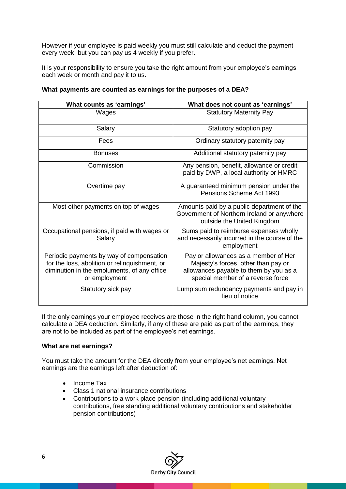However if your employee is paid weekly you must still calculate and deduct the payment every week, but you can pay us 4 weekly if you prefer.

It is your responsibility to ensure you take the right amount from your employee's earnings each week or month and pay it to us.

| What counts as 'earnings'                                                                                                                                 | What does not count as 'earnings'                                                                                                                          |  |
|-----------------------------------------------------------------------------------------------------------------------------------------------------------|------------------------------------------------------------------------------------------------------------------------------------------------------------|--|
| Wages                                                                                                                                                     | <b>Statutory Maternity Pay</b>                                                                                                                             |  |
| Salary                                                                                                                                                    | Statutory adoption pay                                                                                                                                     |  |
| Fees                                                                                                                                                      | Ordinary statutory paternity pay                                                                                                                           |  |
| <b>Bonuses</b>                                                                                                                                            | Additional statutory paternity pay                                                                                                                         |  |
| Commission                                                                                                                                                | Any pension, benefit, allowance or credit<br>paid by DWP, a local authority or HMRC                                                                        |  |
| Overtime pay                                                                                                                                              | A guaranteed minimum pension under the<br>Pensions Scheme Act 1993                                                                                         |  |
| Most other payments on top of wages                                                                                                                       | Amounts paid by a public department of the<br>Government of Northern Ireland or anywhere<br>outside the United Kingdom                                     |  |
| Occupational pensions, if paid with wages or<br>Salary                                                                                                    | Sums paid to reimburse expenses wholly<br>and necessarily incurred in the course of the<br>employment                                                      |  |
| Periodic payments by way of compensation<br>for the loss, abolition or relinquishment, or<br>diminution in the emoluments, of any office<br>or employment | Pay or allowances as a member of Her<br>Majesty's forces, other than pay or<br>allowances payable to them by you as a<br>special member of a reverse force |  |
| Statutory sick pay                                                                                                                                        | Lump sum redundancy payments and pay in<br>lieu of notice                                                                                                  |  |

#### **What payments are counted as earnings for the purposes of a DEA?**

If the only earnings your employee receives are those in the right hand column, you cannot calculate a DEA deduction. Similarly, if any of these are paid as part of the earnings, they are not to be included as part of the employee's net earnings.

#### **What are net earnings?**

You must take the amount for the DEA directly from your employee's net earnings. Net earnings are the earnings left after deduction of:

- Income Tax
- Class 1 national insurance contributions
- Contributions to a work place pension (including additional voluntary contributions, free standing additional voluntary contributions and stakeholder pension contributions)

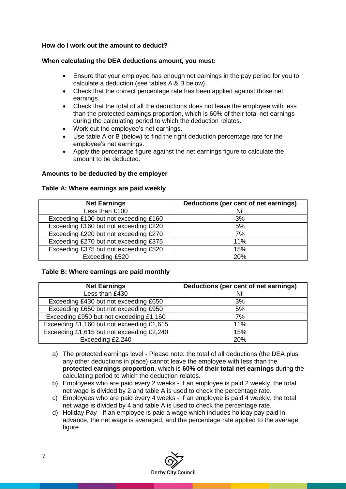### **How do I work out the amount to deduct?**

#### **When calculating the DEA deductions amount, you must:**

- Ensure that your employee has enough net earnings in the pay period for you to calculate a deduction (see tables A & B below).
- Check that the correct percentage rate has been applied against those net earnings.
- Check that the total of all the deductions does not leave the employee with less than the protected earnings proportion, which is 60% of their total net earnings during the calculating period to which the deduction relates.
- Work out the employee's net earnings.
- Use table A or B (below) to find the right deduction percentage rate for the employee's net earnings.
- Apply the percentage figure against the net earnings figure to calculate the amount to be deducted.

#### **Amounts to be deducted by the employer**

#### **Table A: Where earnings are paid weekly**

| <b>Net Earnings</b>                   | Deductions (per cent of net earnings) |
|---------------------------------------|---------------------------------------|
| Less than £100                        | Nil                                   |
| Exceeding £100 but not exceeding £160 | 3%                                    |
| Exceeding £160 but not exceeding £220 | 5%                                    |
| Exceeding £220 but not exceeding £270 | 7%                                    |
| Exceeding £270 but not exceeding £375 | 11%                                   |
| Exceeding £375 but not exceeding £520 | 15%                                   |
| Exceeding £520                        | 20%                                   |

#### **Table B: Where earnings are paid monthly**

| <b>Net Earnings</b>                       | Deductions (per cent of net earnings) |
|-------------------------------------------|---------------------------------------|
| Less than £430                            | Nil                                   |
| Exceeding £430 but not exceeding £650     | 3%                                    |
| Exceeding £650 but not exceeding £950     | 5%                                    |
| Exceeding £950 but not exceeding £1,160   | 7%                                    |
| Exceeding £1,160 but not exceeding £1,615 | 11%                                   |
| Exceeding £1,615 but not exceeding £2,240 | 15%                                   |
| Exceeding £2,240                          | 20%                                   |

- a) The protected earnings level Please note: the total of all deductions (the DEA plus any other deductions in place) cannot leave the employee with less than the **protected earnings proportion**, which is **60% of their total net earnings** during the calculating period to which the deduction relates.
- b) Employees who are paid every 2 weeks If an employee is paid 2 weekly, the total net wage is divided by 2 and table A is used to check the percentage rate.
- c) Employees who are paid every 4 weeks If an employee is paid 4 weekly, the total net wage is divided by 4 and table A is used to check the percentage rate.
- d) Holiday Pay If an employee is paid a wage which includes holiday pay paid in advance, the net wage is averaged, and the percentage rate applied to the average figure.

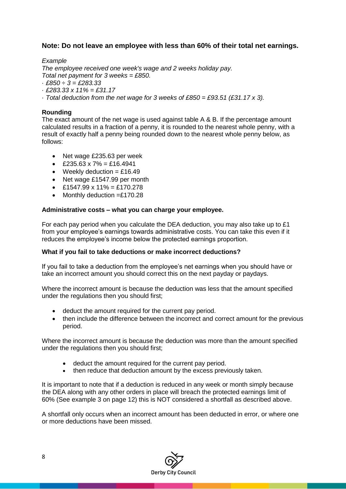# **Note: Do not leave an employee with less than 60% of their total net earnings.**

## *Example*

*The employee received one week's wage and 2 weeks holiday pay.*

*Total net payment for 3 weeks = £850.*

- · *£850 ÷ 3 = £283.33*
- · *£283.33 x 11% = £31.17*
- · *Total deduction from the net wage for 3 weeks of £850 = £93.51 (£31.17 x 3).*

## **Rounding**

The exact amount of the net wage is used against table A & B. If the percentage amount calculated results in a fraction of a penny, it is rounded to the nearest whole penny, with a result of exactly half a penny being rounded down to the nearest whole penny below, as follows:

- Net wage £235.63 per week
- $\text{£}235.63 \times 7\% = \text{£}16.4941$
- Weekly deduction  $=$  £16.49
- Net wage £1547.99 per month
- $\triangle$  £1547.99 x 11% = £170.278
- Monthly deduction  $=£170.28$

#### **Administrative costs – what you can charge your employee.**

For each pay period when you calculate the DEA deduction, you may also take up to £1 from your employee's earnings towards administrative costs. You can take this even if it reduces the employee's income below the protected earnings proportion.

#### **What if you fail to take deductions or make incorrect deductions?**

If you fail to take a deduction from the employee's net earnings when you should have or take an incorrect amount you should correct this on the next payday or paydays.

Where the incorrect amount is because the deduction was less that the amount specified under the regulations then you should first;

- deduct the amount required for the current pay period.
- then include the difference between the incorrect and correct amount for the previous period.

Where the incorrect amount is because the deduction was more than the amount specified under the regulations then you should first;

- deduct the amount required for the current pay period.
- then reduce that deduction amount by the excess previously taken.

It is important to note that if a deduction is reduced in any week or month simply because the DEA along with any other orders in place will breach the protected earnings limit of 60% (See example 3 on page 12) this is NOT considered a shortfall as described above.

A shortfall only occurs when an incorrect amount has been deducted in error, or where one or more deductions have been missed.

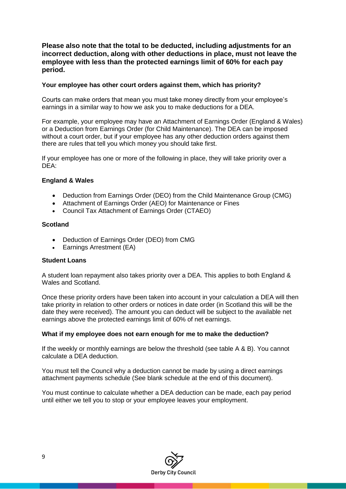# **Please also note that the total to be deducted, including adjustments for an incorrect deduction, along with other deductions in place, must not leave the employee with less than the protected earnings limit of 60% for each pay period.**

#### **Your employee has other court orders against them, which has priority?**

Courts can make orders that mean you must take money directly from your employee's earnings in a similar way to how we ask you to make deductions for a DEA.

For example, your employee may have an Attachment of Earnings Order (England & Wales) or a Deduction from Earnings Order (for Child Maintenance). The DEA can be imposed without a court order, but if your employee has any other deduction orders against them there are rules that tell you which money you should take first.

If your employee has one or more of the following in place, they will take priority over a DEA:

#### **England & Wales**

- Deduction from Earnings Order (DEO) from the Child Maintenance Group (CMG)
- Attachment of Earnings Order (AEO) for Maintenance or Fines
- Council Tax Attachment of Earnings Order (CTAEO)

#### **Scotland**

- Deduction of Earnings Order (DEO) from CMG
- Earnings Arrestment (EA)

#### **Student Loans**

A student loan repayment also takes priority over a DEA. This applies to both England & Wales and Scotland.

Once these priority orders have been taken into account in your calculation a DEA will then take priority in relation to other orders or notices in date order (in Scotland this will be the date they were received). The amount you can deduct will be subject to the available net earnings above the protected earnings limit of 60% of net earnings.

#### **What if my employee does not earn enough for me to make the deduction?**

If the weekly or monthly earnings are below the threshold (see table A & B). You cannot calculate a DEA deduction.

You must tell the Council why a deduction cannot be made by using a direct earnings attachment payments schedule (See blank schedule at the end of this document).

You must continue to calculate whether a DEA deduction can be made, each pay period until either we tell you to stop or your employee leaves your employment.

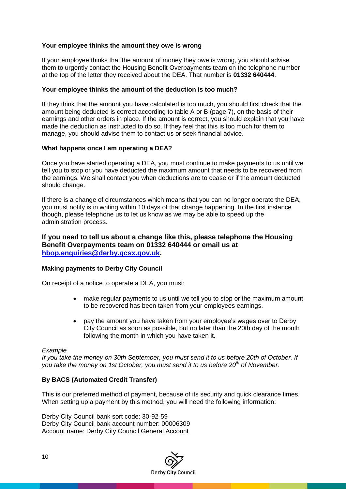#### **Your employee thinks the amount they owe is wrong**

If your employee thinks that the amount of money they owe is wrong, you should advise them to urgently contact the Housing Benefit Overpayments team on the telephone number at the top of the letter they received about the DEA. That number is **01332 640444**.

#### **Your employee thinks the amount of the deduction is too much?**

If they think that the amount you have calculated is too much, you should first check that the amount being deducted is correct according to table A or B (page 7), on the basis of their earnings and other orders in place. If the amount is correct, you should explain that you have made the deduction as instructed to do so. If they feel that this is too much for them to manage, you should advise them to contact us or seek financial advice.

#### **What happens once I am operating a DEA?**

Once you have started operating a DEA, you must continue to make payments to us until we tell you to stop or you have deducted the maximum amount that needs to be recovered from the earnings. We shall contact you when deductions are to cease or if the amount deducted should change.

If there is a change of circumstances which means that you can no longer operate the DEA, you must notify is in writing within 10 days of that change happening. In the first instance though, please telephone us to let us know as we may be able to speed up the administration process.

#### **If you need to tell us about a change like this, please telephone the Housing Benefit Overpayments team on 01332 640444 or email us at [hbop.enquiries@derby.gcsx.gov.uk.](mailto:hbop.enquiries@derby.gcsx.gov.uk)**

#### **Making payments to Derby City Council**

On receipt of a notice to operate a DEA, you must:

- make regular payments to us until we tell you to stop or the maximum amount to be recovered has been taken from your employees earnings.
- pay the amount you have taken from your employee's wages over to Derby City Council as soon as possible, but no later than the 20th day of the month following the month in which you have taken it.

#### *Example*

*If you take the money on 30th September, you must send it to us before 20th of October. If you take the money on 1st October, you must send it to us before 20th of November.*

#### **By BACS (Automated Credit Transfer)**

This is our preferred method of payment, because of its security and quick clearance times. When setting up a payment by this method, you will need the following information:

Derby City Council bank sort code: 30-92-59 Derby City Council bank account number: 00006309 Account name: Derby City Council General Account

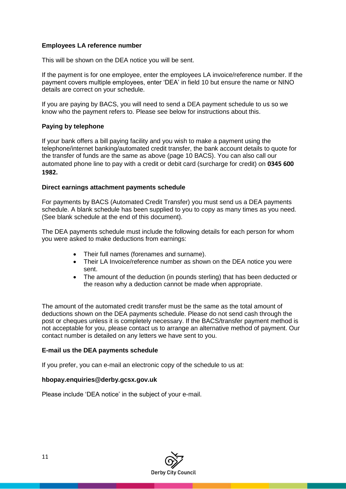### **Employees LA reference number**

This will be shown on the DEA notice you will be sent.

If the payment is for one employee, enter the employees LA invoice/reference number. If the payment covers multiple employees, enter 'DEA' in field 10 but ensure the name or NINO details are correct on your schedule.

If you are paying by BACS, you will need to send a DEA payment schedule to us so we know who the payment refers to. Please see below for instructions about this.

#### **Paying by telephone**

If your bank offers a bill paying facility and you wish to make a payment using the telephone/internet banking/automated credit transfer, the bank account details to quote for the transfer of funds are the same as above (page 10 BACS). You can also call our automated phone line to pay with a credit or debit card (surcharge for credit) on **0345 600 1982.**

#### **Direct earnings attachment payments schedule**

For payments by BACS (Automated Credit Transfer) you must send us a DEA payments schedule. A blank schedule has been supplied to you to copy as many times as you need. (See blank schedule at the end of this document).

The DEA payments schedule must include the following details for each person for whom you were asked to make deductions from earnings:

- Their full names (forenames and surname).
- Their LA Invoice/reference number as shown on the DEA notice you were sent.
- The amount of the deduction (in pounds sterling) that has been deducted or the reason why a deduction cannot be made when appropriate.

The amount of the automated credit transfer must be the same as the total amount of deductions shown on the DEA payments schedule. Please do not send cash through the post or cheques unless it is completely necessary. If the BACS/transfer payment method is not acceptable for you, please contact us to arrange an alternative method of payment. Our contact number is detailed on any letters we have sent to you.

#### **E-mail us the DEA payments schedule**

If you prefer, you can e-mail an electronic copy of the schedule to us at:

#### **hbopay.enquiries@derby.gcsx.gov.uk**

Please include 'DEA notice' in the subject of your e-mail.

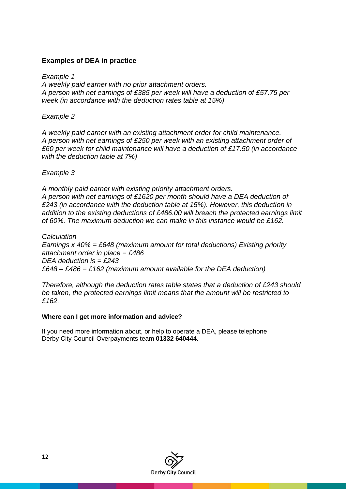# **Examples of DEA in practice**

*Example 1 A weekly paid earner with no prior attachment orders. A person with net earnings of £385 per week will have a deduction of £57.75 per week (in accordance with the deduction rates table at 15%)*

# *Example 2*

*A weekly paid earner with an existing attachment order for child maintenance. A person with net earnings of £250 per week with an existing attachment order of £60 per week for child maintenance will have a deduction of £17.50 (in accordance with the deduction table at 7%)*

# *Example 3*

*A monthly paid earner with existing priority attachment orders. A person with net earnings of £1620 per month should have a DEA deduction of £243 (in accordance with the deduction table at 15%). However, this deduction in addition to the existing deductions of £486.00 will breach the protected earnings limit of 60%. The maximum deduction we can make in this instance would be £162.*

*Calculation Earnings x 40% = £648 (maximum amount for total deductions) Existing priority attachment order in place = £486 DEA deduction is = £243 £648 – £486 = £162 (maximum amount available for the DEA deduction)*

*Therefore, although the deduction rates table states that a deduction of £243 should be taken, the protected earnings limit means that the amount will be restricted to £162.*

# **Where can I get more information and advice?**

If you need more information about, or help to operate a DEA, please telephone Derby City Council Overpayments team **01332 640444**.